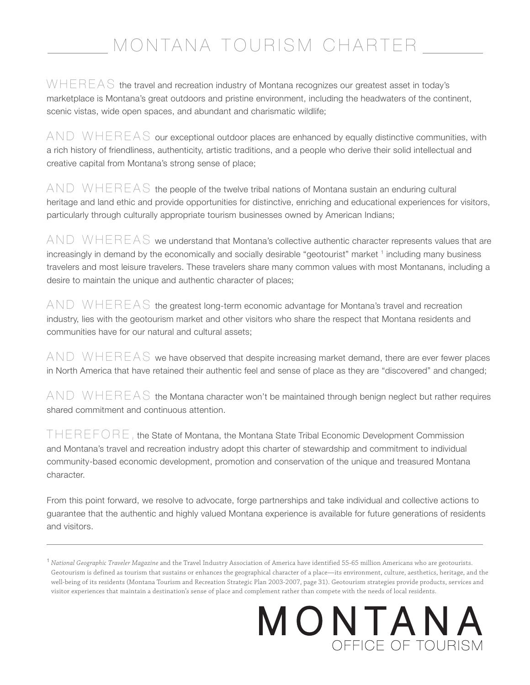## MONTANA TOURISM CHARTER

 $W H E R E A S$  the travel and recreation industry of Montana recognizes our greatest asset in today's marketplace is Montana's great outdoors and pristine environment, including the headwaters of the continent, scenic vistas, wide open spaces, and abundant and charismatic wildlife;

AND WHEREAS our exceptional outdoor places are enhanced by equally distinctive communities, with a rich history of friendliness, authenticity, artistic traditions, and a people who derive their solid intellectual and creative capital from Montana's strong sense of place;

 $AND$   $WHEREAS$  the people of the twelve tribal nations of Montana sustain an enduring cultural heritage and land ethic and provide opportunities for distinctive, enriching and educational experiences for visitors, particularly through culturally appropriate tourism businesses owned by American Indians;

 $AND$   $WHEREAS$  we understand that Montana's collective authentic character represents values that are increasingly in demand by the economically and socially desirable "geotourist" market <sup>1</sup> including many business travelers and most leisure travelers. These travelers share many common values with most Montanans, including a desire to maintain the unique and authentic character of places;

 $AND$  WHEREAS the greatest long-term economic advantage for Montana's travel and recreation industry, lies with the geotourism market and other visitors who share the respect that Montana residents and communities have for our natural and cultural assets;

 $AND$  WHEREAS we have observed that despite increasing market demand, there are ever fewer places in North America that have retained their authentic feel and sense of place as they are "discovered" and changed;

 $AND$  WHEREAS the Montana character won't be maintained through benign neglect but rather requires shared commitment and continuous attention.

 $THEREFORE$ , the State of Montana, the Montana State Tribal Economic Development Commission and Montana's travel and recreation industry adopt this charter of stewardship and commitment to individual community-based economic development, promotion and conservation of the unique and treasured Montana character.

From this point forward, we resolve to advocate, forge partnerships and take individual and collective actions to guarantee that the authentic and highly valued Montana experience is available for future generations of residents and visitors.

## MONTANA OFFICE OF TOURISM

<sup>1</sup>*National Geographic Traveler Magazine* and the Travel Industry Association of America have identified 55-65 million Americans who are geotourists. Geotourism is defined as tourism that sustains or enhances the geographical character of a place—its environment, culture, aesthetics, heritage, and the well-being of its residents (Montana Tourism and Recreation Strategic Plan 2003-2007, page 31). Geotourism strategies provide products, services and visitor experiences that maintain a destination's sense of place and complement rather than compete with the needs of local residents.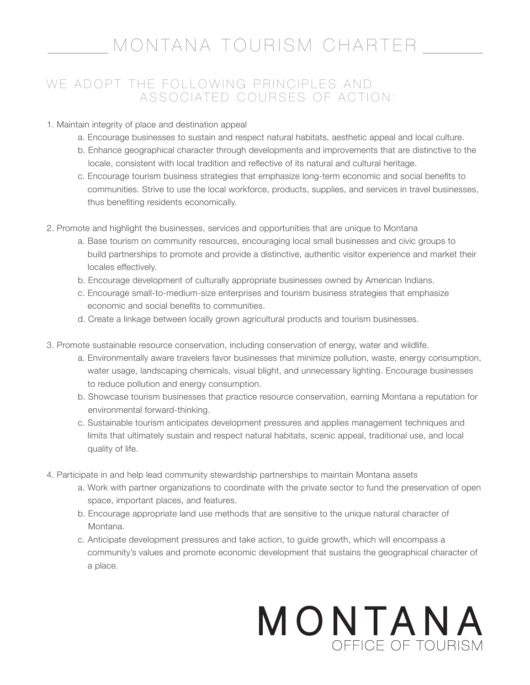### MONTANA TOURISM CHARTER

### WE ADOPT THE FOLLOWING PRINCIPLES AND ASSOCIATED COURSES OF ACTION:

#### 1. Maintain integrity of place and destination appeal

- a. Encourage businesses to sustain and respect natural habitats, aesthetic appeal and local culture.
- b. Enhance geographical character through developments and improvements that are distinctive to the locale, consistent with local tradition and reflective of its natural and cultural heritage.
- c. Encourage tourism business strategies that emphasize long-term economic and social benefits to communities. Strive to use the local workforce, products, supplies, and services in travel businesses, thus benefiting residents economically.
- 2. Promote and highlight the businesses, services and opportunities that are unique to Montana
	- a. Base tourism on community resources, encouraging local small businesses and civic groups to build partnerships to promote and provide a distinctive, authentic visitor experience and market their locales effectively.
	- b. Encourage development of culturally appropriate businesses owned by American Indians.
	- c. Encourage small-to-medium-size enterprises and tourism business strategies that emphasize economic and social benefits to communities.
	- d. Create a linkage between locally grown agricultural products and tourism businesses.
- 3. Promote sustainable resource conservation, including conservation of energy, water and wildlife.
	- a. Environmentally aware travelers favor businesses that minimize pollution, waste, energy consumption, water usage, landscaping chemicals, visual blight, and unnecessary lighting. Encourage businesses to reduce pollution and energy consumption.
	- b. Showcase tourism businesses that practice resource conservation, earning Montana a reputation for environmental forward-thinking.
	- c. Sustainable tourism anticipates development pressures and applies management techniques and limits that ultimately sustain and respect natural habitats, scenic appeal, traditional use, and local quality of life.
- 4. Participate in and help lead community stewardship partnerships to maintain Montana assets
	- a. Work with partner organizations to coordinate with the private sector to fund the preservation of open space, important places, and features.
	- b. Encourage appropriate land use methods that are sensitive to the unique natural character of Montana.
	- c. Anticipate development pressures and take action, to guide growth, which will encompass a community's values and promote economic development that sustains the geographical character of a place.

## MONTANA OFFICE OF TOURISM